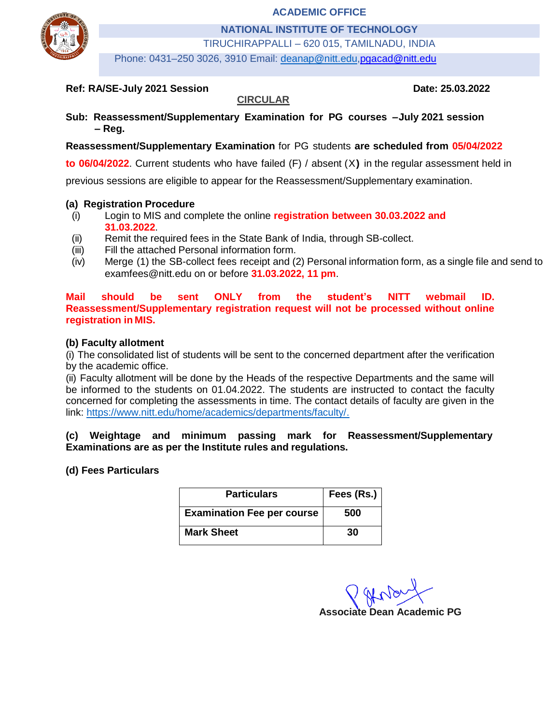**ACADEMIC OFFICE**



**NATIONAL INSTITUTE OF TECHNOLOGY**

TIRUCHIRAPPALLI – 620 015, TAMILNADU, INDIA

Phone: 0431–250 3026, 3910 Email: deanap@nitt.edu[,pgacad@nitt.edu](mailto:pgacad@nitt.edu)

#### **Ref: RA/SE-July 2021 Session Date: 25.03.2022**

#### **Sub: Reassessment/Supplementary Examination for PG courses – July 2021 session – Reg.**

**CIRCULAR**

#### **Reassessment/Supplementary Examination** for PG students **are scheduled from 05/04/2022**

**to 06/04/2022**. Current students who have failed (F) / absent (X**)** in the regular assessment held in

previous sessions are eligible to appear for the Reassessment/Supplementary examination.

#### **(a) Registration Procedure**

- (i) Login to MIS and complete the online **registration between 30.03.2022 and 31.03.2022**.
- (ii) Remit the required fees in the State Bank of India, through SB-collect.
- (iii) Fill the attached Personal information form.
- (iv) Merge (1) the SB-collect fees receipt and (2) Personal information form, as a single file and send to [examfees@nitt.edu](mailto:examfees@nitt.edu) on or before **31.03.2022, 11 pm**.

**Mail should be sent ONLY from the student's NITT webmail ID. Reassessment/Supplementary registration request will not be processed without online registration in MIS.**

#### **(b) Faculty allotment**

(i) The consolidated list of students will be sent to the concerned department after the verification by the academic office.

(ii) Faculty allotment will be done by the Heads of the respective Departments and the same will be informed to the students on 01.04.2022. The students are instructed to contact the faculty concerned for completing the assessments in time. The contact details of faculty are given in the link: [https://www.nitt.edu/home/academics/departments/faculty/.](https://www.nitt.edu/home/academics/departments/faculty/)

#### **(c) Weightage and minimum passing mark for Reassessment/Supplementary Examinations are as per the Institute rules and regulations.**

#### **(d) Fees Particulars**

| <b>Particulars</b>                | Fees (Rs.) |  |  |
|-----------------------------------|------------|--|--|
| <b>Examination Fee per course</b> | 500        |  |  |
| <b>Mark Sheet</b>                 | 30         |  |  |

**Associate Dean Academic PG**